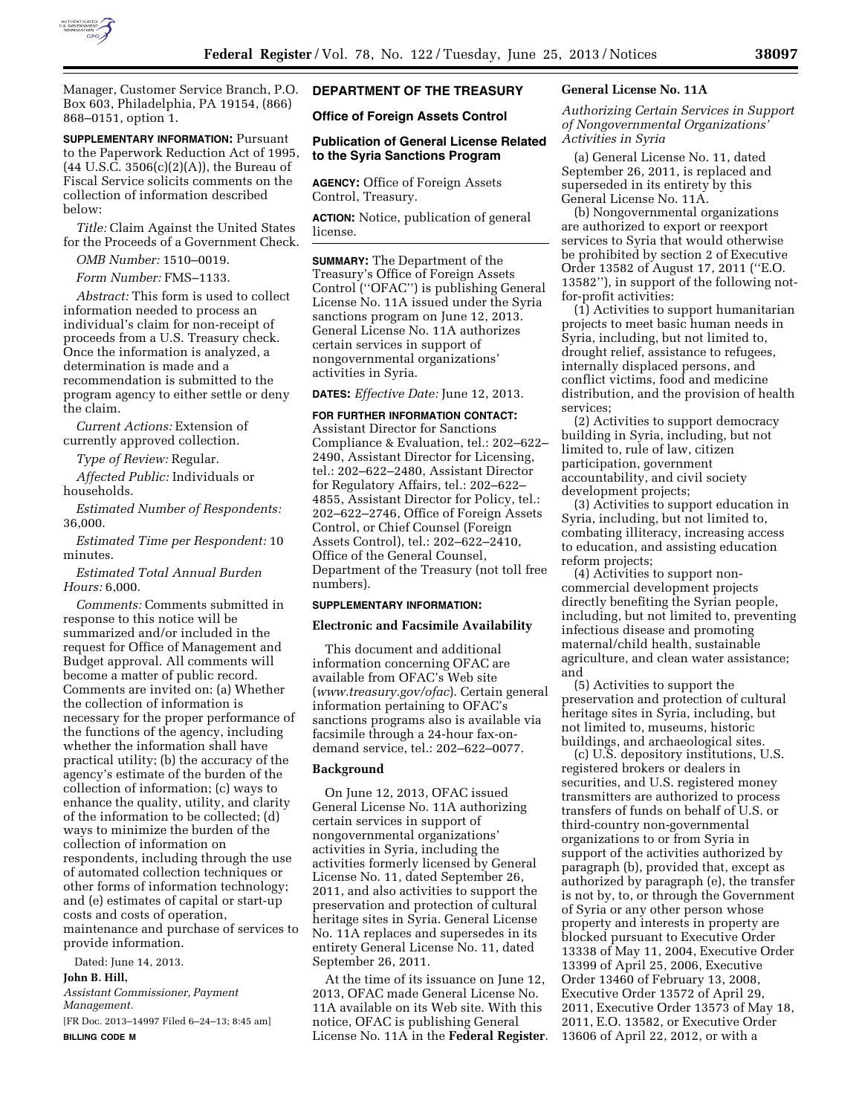

Manager, Customer Service Branch, P.O. Box 603, Philadelphia, PA 19154, (866) 868–0151, option 1.

**SUPPLEMENTARY INFORMATION:** Pursuant to the Paperwork Reduction Act of 1995,  $(44 \text{ U.S.C. } 3506(c)(2)(A))$ , the Bureau of Fiscal Service solicits comments on the collection of information described below:

*Title:* Claim Against the United States for the Proceeds of a Government Check.

*OMB Number:* 1510–0019.

*Form Number:* FMS–1133.

*Abstract:* This form is used to collect information needed to process an individual's claim for non-receipt of proceeds from a U.S. Treasury check. Once the information is analyzed, a determination is made and a recommendation is submitted to the program agency to either settle or deny the claim.

*Current Actions:* Extension of currently approved collection.

*Type of Review:* Regular.

*Affected Public:* Individuals or households.

*Estimated Number of Respondents:*  36,000.

*Estimated Time per Respondent:* 10 minutes.

*Estimated Total Annual Burden Hours:* 6,000.

*Comments:* Comments submitted in response to this notice will be summarized and/or included in the request for Office of Management and Budget approval. All comments will become a matter of public record. Comments are invited on: (a) Whether the collection of information is necessary for the proper performance of the functions of the agency, including whether the information shall have practical utility; (b) the accuracy of the agency's estimate of the burden of the collection of information; (c) ways to enhance the quality, utility, and clarity of the information to be collected; (d) ways to minimize the burden of the collection of information on respondents, including through the use of automated collection techniques or other forms of information technology; and (e) estimates of capital or start-up costs and costs of operation, maintenance and purchase of services to provide information.

Dated: June 14, 2013.

# **John B. Hill,**

*Assistant Commissioner, Payment Management.* 

[FR Doc. 2013–14997 Filed 6–24–13; 8:45 am] **BILLING CODE M** 

# **DEPARTMENT OF THE TREASURY**

### **Office of Foreign Assets Control**

#### **Publication of General License Related to the Syria Sanctions Program**

**AGENCY:** Office of Foreign Assets Control, Treasury.

**ACTION:** Notice, publication of general license.

**SUMMARY:** The Department of the Treasury's Office of Foreign Assets Control (''OFAC'') is publishing General License No. 11A issued under the Syria sanctions program on June 12, 2013. General License No. 11A authorizes certain services in support of nongovernmental organizations' activities in Syria.

**DATES:** *Effective Date:* June 12, 2013.

### **FOR FURTHER INFORMATION CONTACT:**

Assistant Director for Sanctions Compliance & Evaluation, tel.: 202–622– 2490, Assistant Director for Licensing, tel.: 202–622–2480, Assistant Director for Regulatory Affairs, tel.: 202–622– 4855, Assistant Director for Policy, tel.: 202–622–2746, Office of Foreign Assets Control, or Chief Counsel (Foreign Assets Control), tel.: 202–622–2410, Office of the General Counsel, Department of the Treasury (not toll free numbers).

#### **SUPPLEMENTARY INFORMATION:**

#### **Electronic and Facsimile Availability**

This document and additional information concerning OFAC are available from OFAC's Web site (*[www.treasury.gov/ofac](http://www.treasury.gov/ofac)*). Certain general information pertaining to OFAC's sanctions programs also is available via facsimile through a 24-hour fax-ondemand service, tel.: 202–622–0077.

### **Background**

On June 12, 2013, OFAC issued General License No. 11A authorizing certain services in support of nongovernmental organizations' activities in Syria, including the activities formerly licensed by General License No. 11, dated September 26, 2011, and also activities to support the preservation and protection of cultural heritage sites in Syria. General License No. 11A replaces and supersedes in its entirety General License No. 11, dated September 26, 2011.

At the time of its issuance on June 12, 2013, OFAC made General License No. 11A available on its Web site. With this notice, OFAC is publishing General License No. 11A in the **Federal Register**.

# **General License No. 11A**

*Authorizing Certain Services in Support of Nongovernmental Organizations' Activities in Syria* 

(a) General License No. 11, dated September 26, 2011, is replaced and superseded in its entirety by this General License No. 11A.

(b) Nongovernmental organizations are authorized to export or reexport services to Syria that would otherwise be prohibited by section 2 of Executive Order 13582 of August 17, 2011 (''E.O. 13582''), in support of the following notfor-profit activities:

(1) Activities to support humanitarian projects to meet basic human needs in Syria, including, but not limited to, drought relief, assistance to refugees, internally displaced persons, and conflict victims, food and medicine distribution, and the provision of health services;

(2) Activities to support democracy building in Syria, including, but not limited to, rule of law, citizen participation, government accountability, and civil society development projects;

(3) Activities to support education in Syria, including, but not limited to, combating illiteracy, increasing access to education, and assisting education reform projects;

(4) Activities to support noncommercial development projects directly benefiting the Syrian people, including, but not limited to, preventing infectious disease and promoting maternal/child health, sustainable agriculture, and clean water assistance; and

(5) Activities to support the preservation and protection of cultural heritage sites in Syria, including, but not limited to, museums, historic buildings, and archaeological sites.

(c) U.S. depository institutions, U.S. registered brokers or dealers in securities, and U.S. registered money transmitters are authorized to process transfers of funds on behalf of U.S. or third-country non-governmental organizations to or from Syria in support of the activities authorized by paragraph (b), provided that, except as authorized by paragraph (e), the transfer is not by, to, or through the Government of Syria or any other person whose property and interests in property are blocked pursuant to Executive Order 13338 of May 11, 2004, Executive Order 13399 of April 25, 2006, Executive Order 13460 of February 13, 2008, Executive Order 13572 of April 29, 2011, Executive Order 13573 of May 18, 2011, E.O. 13582, or Executive Order 13606 of April 22, 2012, or with a